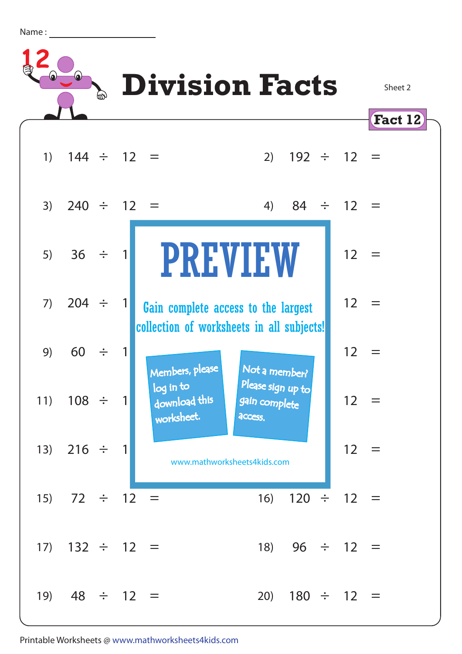